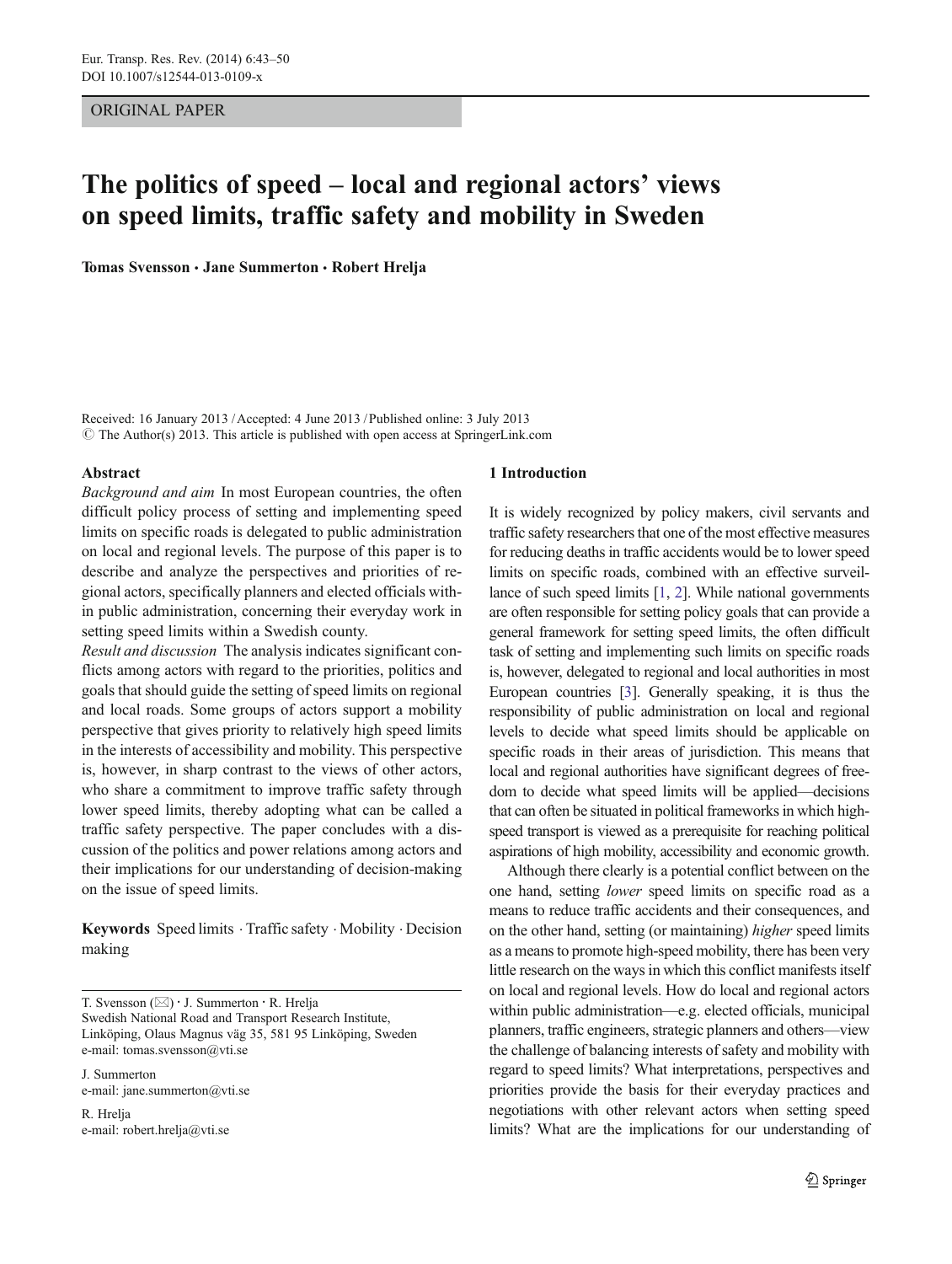# ORIGINAL PAPER

# The politics of speed – local and regional actors' views on speed limits, traffic safety and mobility in Sweden

Tomas Svensson · Jane Summerton · Robert Hrelja

Received: 16 January 2013 /Accepted: 4 June 2013 / Published online: 3 July 2013  $\odot$  The Author(s) 2013. This article is published with open access at SpringerLink.com

## Abstract

Background and aim In most European countries, the often difficult policy process of setting and implementing speed limits on specific roads is delegated to public administration on local and regional levels. The purpose of this paper is to describe and analyze the perspectives and priorities of regional actors, specifically planners and elected officials within public administration, concerning their everyday work in setting speed limits within a Swedish county.

Result and discussion The analysis indicates significant conflicts among actors with regard to the priorities, politics and goals that should guide the setting of speed limits on regional and local roads. Some groups of actors support a mobility perspective that gives priority to relatively high speed limits in the interests of accessibility and mobility. This perspective is, however, in sharp contrast to the views of other actors, who share a commitment to improve traffic safety through lower speed limits, thereby adopting what can be called a traffic safety perspective. The paper concludes with a discussion of the politics and power relations among actors and their implications for our understanding of decision-making on the issue of speed limits.

Keywords Speed limits . Traffic safety . Mobility . Decision making

T. Svensson  $(\boxtimes) \cdot$  J. Summerton  $\cdot$  R. Hrelja Swedish National Road and Transport Research Institute, Linköping, Olaus Magnus väg 35, 581 95 Linköping, Sweden e-mail: tomas.svensson@vti.se

J. Summerton e-mail: jane.summerton@vti.se

R. Hrelja e-mail: robert.hrelja@vti.se

## 1 Introduction

It is widely recognized by policy makers, civil servants and traffic safety researchers that one of the most effective measures for reducing deaths in traffic accidents would be to lower speed limits on specific roads, combined with an effective surveillance of such speed limits [\[1,](#page-7-0) [2](#page-7-0)]. While national governments are often responsible for setting policy goals that can provide a general framework for setting speed limits, the often difficult task of setting and implementing such limits on specific roads is, however, delegated to regional and local authorities in most European countries [[3](#page-7-0)]. Generally speaking, it is thus the responsibility of public administration on local and regional levels to decide what speed limits should be applicable on specific roads in their areas of jurisdiction. This means that local and regional authorities have significant degrees of freedom to decide what speed limits will be applied—decisions that can often be situated in political frameworks in which highspeed transport is viewed as a prerequisite for reaching political aspirations of high mobility, accessibility and economic growth.

Although there clearly is a potential conflict between on the one hand, setting lower speed limits on specific road as a means to reduce traffic accidents and their consequences, and on the other hand, setting (or maintaining) higher speed limits as a means to promote high-speed mobility, there has been very little research on the ways in which this conflict manifests itself on local and regional levels. How do local and regional actors within public administration—e.g. elected officials, municipal planners, traffic engineers, strategic planners and others—view the challenge of balancing interests of safety and mobility with regard to speed limits? What interpretations, perspectives and priorities provide the basis for their everyday practices and negotiations with other relevant actors when setting speed limits? What are the implications for our understanding of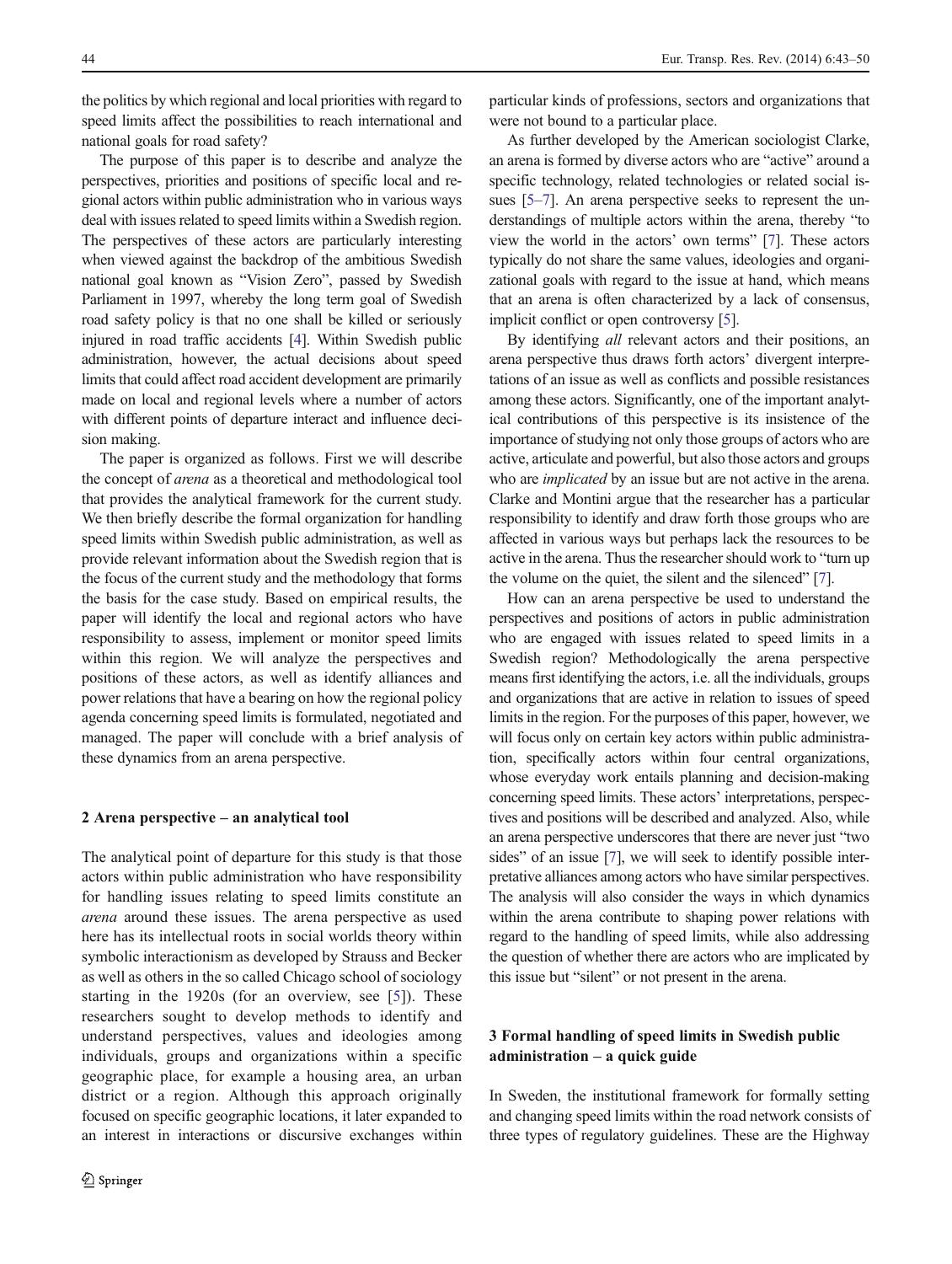the politics by which regional and local priorities with regard to speed limits affect the possibilities to reach international and national goals for road safety?

The purpose of this paper is to describe and analyze the perspectives, priorities and positions of specific local and regional actors within public administration who in various ways deal with issues related to speed limits within a Swedish region. The perspectives of these actors are particularly interesting when viewed against the backdrop of the ambitious Swedish national goal known as "Vision Zero", passed by Swedish Parliament in 1997, whereby the long term goal of Swedish road safety policy is that no one shall be killed or seriously injured in road traffic accidents [\[4\]](#page-7-0). Within Swedish public administration, however, the actual decisions about speed limits that could affect road accident development are primarily made on local and regional levels where a number of actors with different points of departure interact and influence decision making.

The paper is organized as follows. First we will describe the concept of arena as a theoretical and methodological tool that provides the analytical framework for the current study. We then briefly describe the formal organization for handling speed limits within Swedish public administration, as well as provide relevant information about the Swedish region that is the focus of the current study and the methodology that forms the basis for the case study. Based on empirical results, the paper will identify the local and regional actors who have responsibility to assess, implement or monitor speed limits within this region. We will analyze the perspectives and positions of these actors, as well as identify alliances and power relations that have a bearing on how the regional policy agenda concerning speed limits is formulated, negotiated and managed. The paper will conclude with a brief analysis of these dynamics from an arena perspective.

# 2 Arena perspective – an analytical tool

The analytical point of departure for this study is that those actors within public administration who have responsibility for handling issues relating to speed limits constitute an arena around these issues. The arena perspective as used here has its intellectual roots in social worlds theory within symbolic interactionism as developed by Strauss and Becker as well as others in the so called Chicago school of sociology starting in the 1920s (for an overview, see [[5\]](#page-7-0)). These researchers sought to develop methods to identify and understand perspectives, values and ideologies among individuals, groups and organizations within a specific geographic place, for example a housing area, an urban district or a region. Although this approach originally focused on specific geographic locations, it later expanded to an interest in interactions or discursive exchanges within

particular kinds of professions, sectors and organizations that were not bound to a particular place.

As further developed by the American sociologist Clarke, an arena is formed by diverse actors who are "active" around a specific technology, related technologies or related social issues [[5](#page-7-0)–[7](#page-7-0)]. An arena perspective seeks to represent the understandings of multiple actors within the arena, thereby "to view the world in the actors' own terms" [\[7](#page-7-0)]. These actors typically do not share the same values, ideologies and organizational goals with regard to the issue at hand, which means that an arena is often characterized by a lack of consensus, implicit conflict or open controversy [[5](#page-7-0)].

By identifying *all* relevant actors and their positions, an arena perspective thus draws forth actors' divergent interpretations of an issue as well as conflicts and possible resistances among these actors. Significantly, one of the important analytical contributions of this perspective is its insistence of the importance of studying not only those groups of actors who are active, articulate and powerful, but also those actors and groups who are *implicated* by an issue but are not active in the arena. Clarke and Montini argue that the researcher has a particular responsibility to identify and draw forth those groups who are affected in various ways but perhaps lack the resources to be active in the arena. Thus the researcher should work to "turn up the volume on the quiet, the silent and the silenced" [\[7\]](#page-7-0).

How can an arena perspective be used to understand the perspectives and positions of actors in public administration who are engaged with issues related to speed limits in a Swedish region? Methodologically the arena perspective means first identifying the actors, i.e. all the individuals, groups and organizations that are active in relation to issues of speed limits in the region. For the purposes of this paper, however, we will focus only on certain key actors within public administration, specifically actors within four central organizations, whose everyday work entails planning and decision-making concerning speed limits. These actors' interpretations, perspectives and positions will be described and analyzed. Also, while an arena perspective underscores that there are never just "two sides" of an issue [\[7\]](#page-7-0), we will seek to identify possible interpretative alliances among actors who have similar perspectives. The analysis will also consider the ways in which dynamics within the arena contribute to shaping power relations with regard to the handling of speed limits, while also addressing the question of whether there are actors who are implicated by this issue but "silent" or not present in the arena.

# 3 Formal handling of speed limits in Swedish public administration – a quick guide

In Sweden, the institutional framework for formally setting and changing speed limits within the road network consists of three types of regulatory guidelines. These are the Highway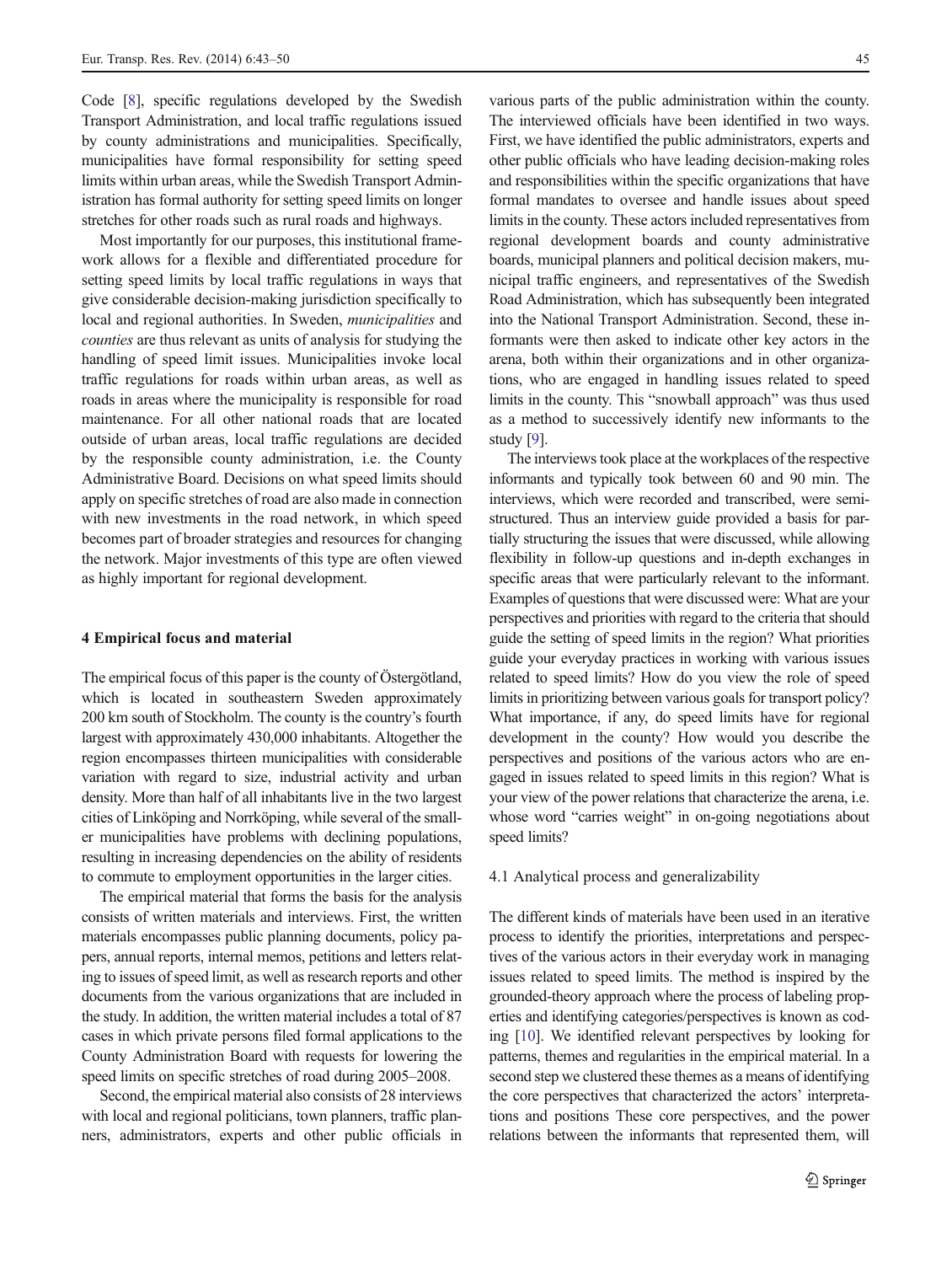Code [\[8\]](#page-7-0), specific regulations developed by the Swedish Transport Administration, and local traffic regulations issued by county administrations and municipalities. Specifically, municipalities have formal responsibility for setting speed limits within urban areas, while the Swedish Transport Administration has formal authority for setting speed limits on longer stretches for other roads such as rural roads and highways.

Most importantly for our purposes, this institutional framework allows for a flexible and differentiated procedure for setting speed limits by local traffic regulations in ways that give considerable decision-making jurisdiction specifically to local and regional authorities. In Sweden, municipalities and counties are thus relevant as units of analysis for studying the handling of speed limit issues. Municipalities invoke local traffic regulations for roads within urban areas, as well as roads in areas where the municipality is responsible for road maintenance. For all other national roads that are located outside of urban areas, local traffic regulations are decided by the responsible county administration, i.e. the County Administrative Board. Decisions on what speed limits should apply on specific stretches of road are also made in connection with new investments in the road network, in which speed becomes part of broader strategies and resources for changing the network. Major investments of this type are often viewed as highly important for regional development.

#### 4 Empirical focus and material

The empirical focus of this paper is the county of Östergötland, which is located in southeastern Sweden approximately 200 km south of Stockholm. The county is the country's fourth largest with approximately 430,000 inhabitants. Altogether the region encompasses thirteen municipalities with considerable variation with regard to size, industrial activity and urban density. More than half of all inhabitants live in the two largest cities of Linköping and Norrköping, while several of the smaller municipalities have problems with declining populations, resulting in increasing dependencies on the ability of residents to commute to employment opportunities in the larger cities.

The empirical material that forms the basis for the analysis consists of written materials and interviews. First, the written materials encompasses public planning documents, policy papers, annual reports, internal memos, petitions and letters relating to issues of speed limit, as well as research reports and other documents from the various organizations that are included in the study. In addition, the written material includes a total of 87 cases in which private persons filed formal applications to the County Administration Board with requests for lowering the speed limits on specific stretches of road during 2005–2008.

Second, the empirical material also consists of 28 interviews with local and regional politicians, town planners, traffic planners, administrators, experts and other public officials in

various parts of the public administration within the county. The interviewed officials have been identified in two ways. First, we have identified the public administrators, experts and other public officials who have leading decision-making roles and responsibilities within the specific organizations that have formal mandates to oversee and handle issues about speed limits in the county. These actors included representatives from regional development boards and county administrative boards, municipal planners and political decision makers, municipal traffic engineers, and representatives of the Swedish Road Administration, which has subsequently been integrated into the National Transport Administration. Second, these informants were then asked to indicate other key actors in the arena, both within their organizations and in other organizations, who are engaged in handling issues related to speed limits in the county. This "snowball approach" was thus used as a method to successively identify new informants to the study [[9\]](#page-7-0).

The interviews took place at the workplaces of the respective informants and typically took between 60 and 90 min. The interviews, which were recorded and transcribed, were semistructured. Thus an interview guide provided a basis for partially structuring the issues that were discussed, while allowing flexibility in follow-up questions and in-depth exchanges in specific areas that were particularly relevant to the informant. Examples of questions that were discussed were: What are your perspectives and priorities with regard to the criteria that should guide the setting of speed limits in the region? What priorities guide your everyday practices in working with various issues related to speed limits? How do you view the role of speed limits in prioritizing between various goals for transport policy? What importance, if any, do speed limits have for regional development in the county? How would you describe the perspectives and positions of the various actors who are engaged in issues related to speed limits in this region? What is your view of the power relations that characterize the arena, i.e. whose word "carries weight" in on-going negotiations about speed limits?

#### 4.1 Analytical process and generalizability

The different kinds of materials have been used in an iterative process to identify the priorities, interpretations and perspectives of the various actors in their everyday work in managing issues related to speed limits. The method is inspired by the grounded-theory approach where the process of labeling properties and identifying categories/perspectives is known as coding [\[10](#page-7-0)]. We identified relevant perspectives by looking for patterns, themes and regularities in the empirical material. In a second step we clustered these themes as a means of identifying the core perspectives that characterized the actors' interpretations and positions These core perspectives, and the power relations between the informants that represented them, will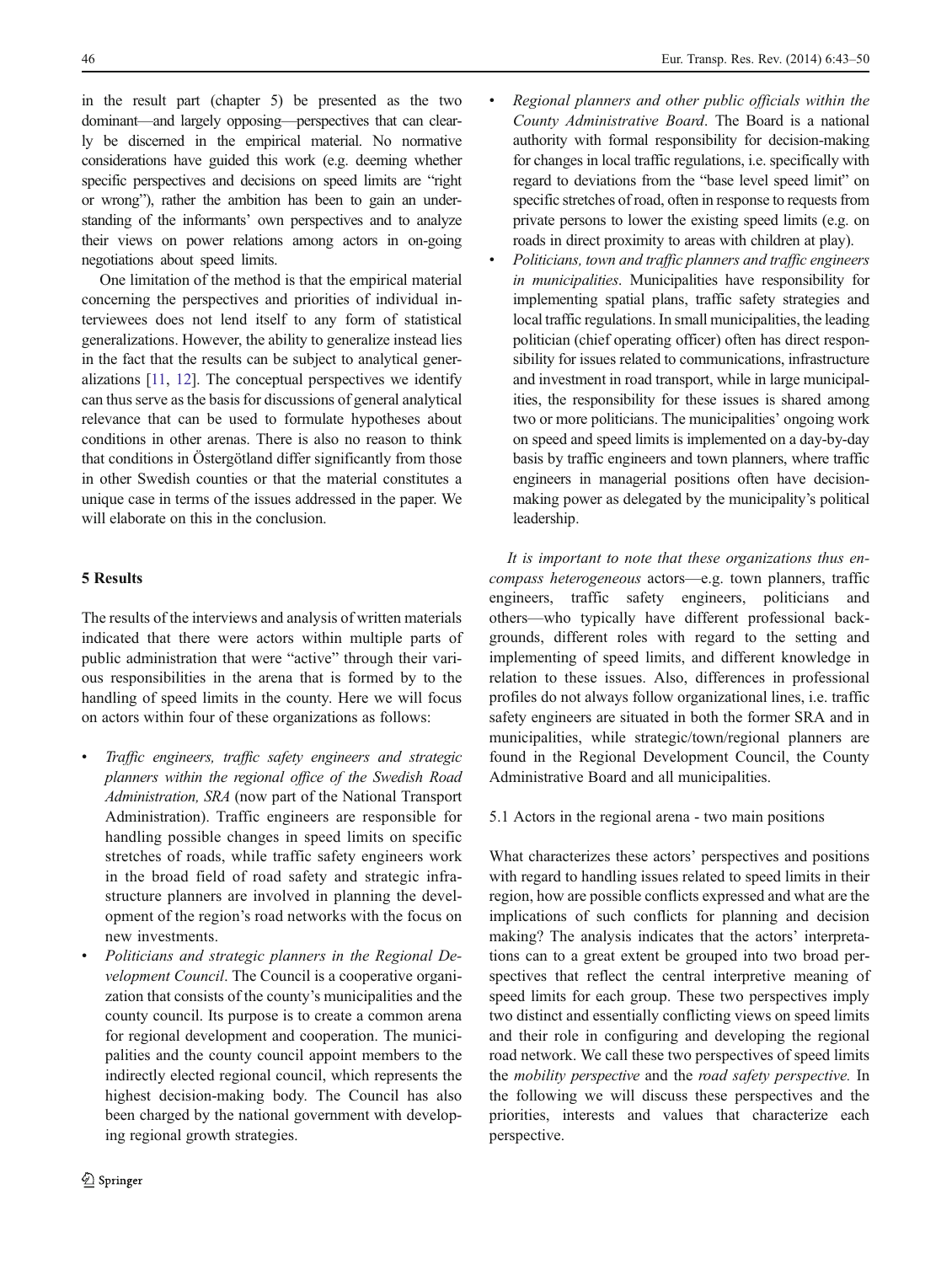in the result part (chapter 5) be presented as the two dominant—and largely opposing—perspectives that can clearly be discerned in the empirical material. No normative considerations have guided this work (e.g. deeming whether specific perspectives and decisions on speed limits are "right or wrong"), rather the ambition has been to gain an understanding of the informants' own perspectives and to analyze their views on power relations among actors in on-going negotiations about speed limits.

One limitation of the method is that the empirical material concerning the perspectives and priorities of individual interviewees does not lend itself to any form of statistical generalizations. However, the ability to generalize instead lies in the fact that the results can be subject to analytical generalizations [[11,](#page-7-0) [12\]](#page-7-0). The conceptual perspectives we identify can thus serve as the basis for discussions of general analytical relevance that can be used to formulate hypotheses about conditions in other arenas. There is also no reason to think that conditions in Östergötland differ significantly from those in other Swedish counties or that the material constitutes a unique case in terms of the issues addressed in the paper. We will elaborate on this in the conclusion.

# 5 Results

The results of the interviews and analysis of written materials indicated that there were actors within multiple parts of public administration that were "active" through their various responsibilities in the arena that is formed by to the handling of speed limits in the county. Here we will focus on actors within four of these organizations as follows:

- Traffic engineers, traffic safety engineers and strategic planners within the regional office of the Swedish Road Administration, SRA (now part of the National Transport Administration). Traffic engineers are responsible for handling possible changes in speed limits on specific stretches of roads, while traffic safety engineers work in the broad field of road safety and strategic infrastructure planners are involved in planning the development of the region's road networks with the focus on new investments.
- Politicians and strategic planners in the Regional Development Council. The Council is a cooperative organization that consists of the county's municipalities and the county council. Its purpose is to create a common arena for regional development and cooperation. The municipalities and the county council appoint members to the indirectly elected regional council, which represents the highest decision-making body. The Council has also been charged by the national government with developing regional growth strategies.
- & Regional planners and other public officials within the County Administrative Board. The Board is a national authority with formal responsibility for decision-making for changes in local traffic regulations, i.e. specifically with regard to deviations from the "base level speed limit" on specific stretches of road, often in response to requests from private persons to lower the existing speed limits (e.g. on roads in direct proximity to areas with children at play).
- Politicians, town and traffic planners and traffic engineers in municipalities. Municipalities have responsibility for implementing spatial plans, traffic safety strategies and local traffic regulations. In small municipalities, the leading politician (chief operating officer) often has direct responsibility for issues related to communications, infrastructure and investment in road transport, while in large municipalities, the responsibility for these issues is shared among two or more politicians. The municipalities' ongoing work on speed and speed limits is implemented on a day-by-day basis by traffic engineers and town planners, where traffic engineers in managerial positions often have decisionmaking power as delegated by the municipality's political leadership.

It is important to note that these organizations thus encompass heterogeneous actors—e.g. town planners, traffic engineers, traffic safety engineers, politicians and others—who typically have different professional backgrounds, different roles with regard to the setting and implementing of speed limits, and different knowledge in relation to these issues. Also, differences in professional profiles do not always follow organizational lines, i.e. traffic safety engineers are situated in both the former SRA and in municipalities, while strategic/town/regional planners are found in the Regional Development Council, the County Administrative Board and all municipalities.

5.1 Actors in the regional arena - two main positions

What characterizes these actors' perspectives and positions with regard to handling issues related to speed limits in their region, how are possible conflicts expressed and what are the implications of such conflicts for planning and decision making? The analysis indicates that the actors' interpretations can to a great extent be grouped into two broad perspectives that reflect the central interpretive meaning of speed limits for each group. These two perspectives imply two distinct and essentially conflicting views on speed limits and their role in configuring and developing the regional road network. We call these two perspectives of speed limits the mobility perspective and the road safety perspective. In the following we will discuss these perspectives and the priorities, interests and values that characterize each perspective.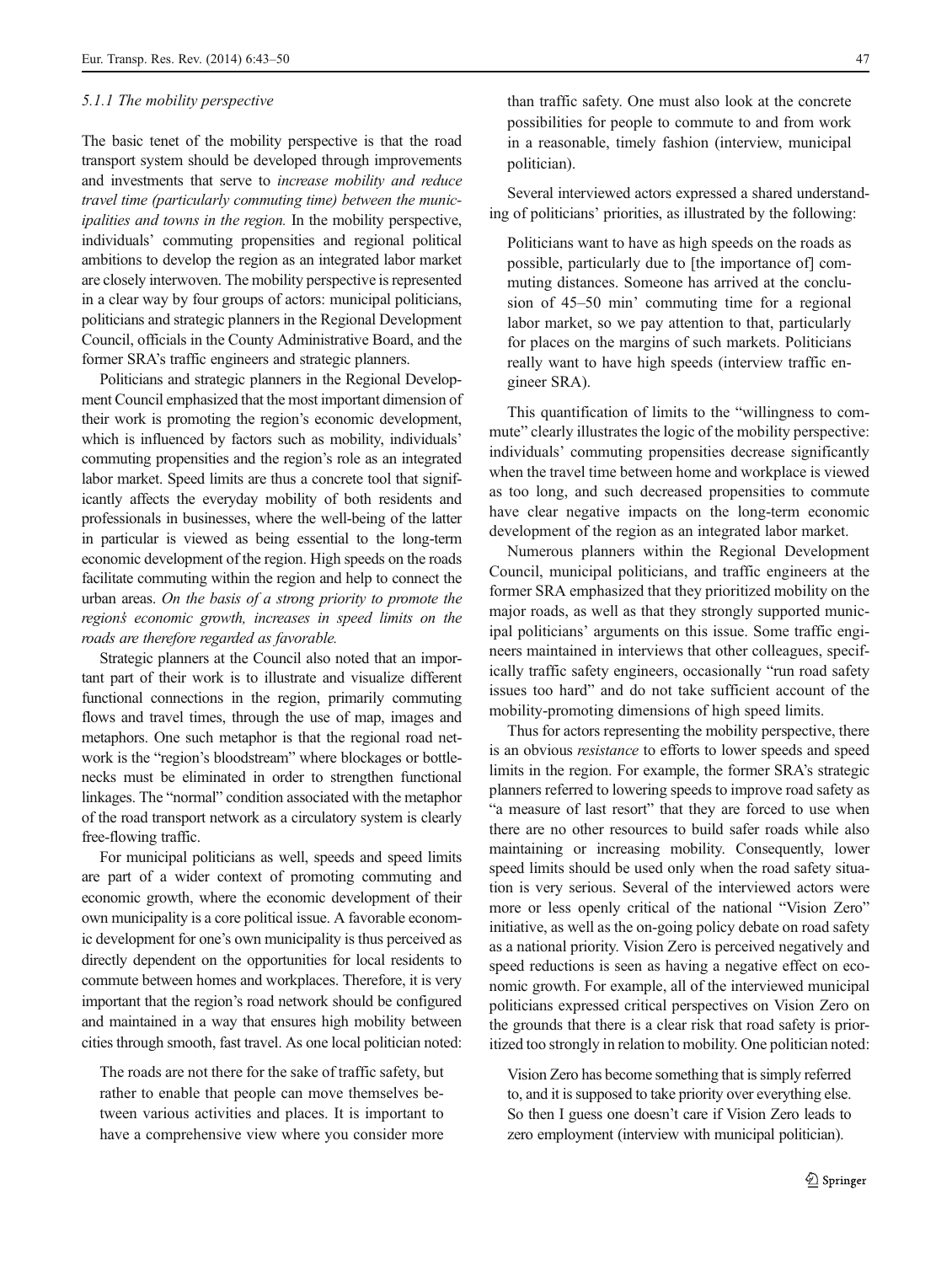#### 5.1.1 The mobility perspective

The basic tenet of the mobility perspective is that the road transport system should be developed through improvements and investments that serve to increase mobility and reduce travel time (particularly commuting time) between the municipalities and towns in the region. In the mobility perspective, individuals' commuting propensities and regional political ambitions to develop the region as an integrated labor market are closely interwoven. The mobility perspective is represented in a clear way by four groups of actors: municipal politicians, politicians and strategic planners in the Regional Development Council, officials in the County Administrative Board, and the former SRA's traffic engineers and strategic planners.

Politicians and strategic planners in the Regional Development Council emphasized that the most important dimension of their work is promoting the region's economic development, which is influenced by factors such as mobility, individuals' commuting propensities and the region's role as an integrated labor market. Speed limits are thus a concrete tool that significantly affects the everyday mobility of both residents and professionals in businesses, where the well-being of the latter in particular is viewed as being essential to the long-term economic development of the region. High speeds on the roads facilitate commuting within the region and help to connect the urban areas. On the basis of a strong priority to promote the region's economic growth, increases in speed limits on the roads are therefore regarded as favorable.

Strategic planners at the Council also noted that an important part of their work is to illustrate and visualize different functional connections in the region, primarily commuting flows and travel times, through the use of map, images and metaphors. One such metaphor is that the regional road network is the "region's bloodstream" where blockages or bottlenecks must be eliminated in order to strengthen functional linkages. The "normal" condition associated with the metaphor of the road transport network as a circulatory system is clearly free-flowing traffic.

For municipal politicians as well, speeds and speed limits are part of a wider context of promoting commuting and economic growth, where the economic development of their own municipality is a core political issue. A favorable economic development for one's own municipality is thus perceived as directly dependent on the opportunities for local residents to commute between homes and workplaces. Therefore, it is very important that the region's road network should be configured and maintained in a way that ensures high mobility between cities through smooth, fast travel. As one local politician noted:

The roads are not there for the sake of traffic safety, but rather to enable that people can move themselves between various activities and places. It is important to have a comprehensive view where you consider more than traffic safety. One must also look at the concrete possibilities for people to commute to and from work in a reasonable, timely fashion (interview, municipal politician).

Several interviewed actors expressed a shared understanding of politicians' priorities, as illustrated by the following:

Politicians want to have as high speeds on the roads as possible, particularly due to [the importance of] commuting distances. Someone has arrived at the conclusion of 45–50 min' commuting time for a regional labor market, so we pay attention to that, particularly for places on the margins of such markets. Politicians really want to have high speeds (interview traffic engineer SRA).

This quantification of limits to the "willingness to commute" clearly illustrates the logic of the mobility perspective: individuals' commuting propensities decrease significantly when the travel time between home and workplace is viewed as too long, and such decreased propensities to commute have clear negative impacts on the long-term economic development of the region as an integrated labor market.

Numerous planners within the Regional Development Council, municipal politicians, and traffic engineers at the former SRA emphasized that they prioritized mobility on the major roads, as well as that they strongly supported municipal politicians' arguments on this issue. Some traffic engineers maintained in interviews that other colleagues, specifically traffic safety engineers, occasionally "run road safety issues too hard" and do not take sufficient account of the mobility-promoting dimensions of high speed limits.

Thus for actors representing the mobility perspective, there is an obvious resistance to efforts to lower speeds and speed limits in the region. For example, the former SRA's strategic planners referred to lowering speeds to improve road safety as "a measure of last resort" that they are forced to use when there are no other resources to build safer roads while also maintaining or increasing mobility. Consequently, lower speed limits should be used only when the road safety situation is very serious. Several of the interviewed actors were more or less openly critical of the national "Vision Zero" initiative, as well as the on-going policy debate on road safety as a national priority. Vision Zero is perceived negatively and speed reductions is seen as having a negative effect on economic growth. For example, all of the interviewed municipal politicians expressed critical perspectives on Vision Zero on the grounds that there is a clear risk that road safety is prioritized too strongly in relation to mobility. One politician noted:

Vision Zero has become something that is simply referred to, and it is supposed to take priority over everything else. So then I guess one doesn't care if Vision Zero leads to zero employment (interview with municipal politician).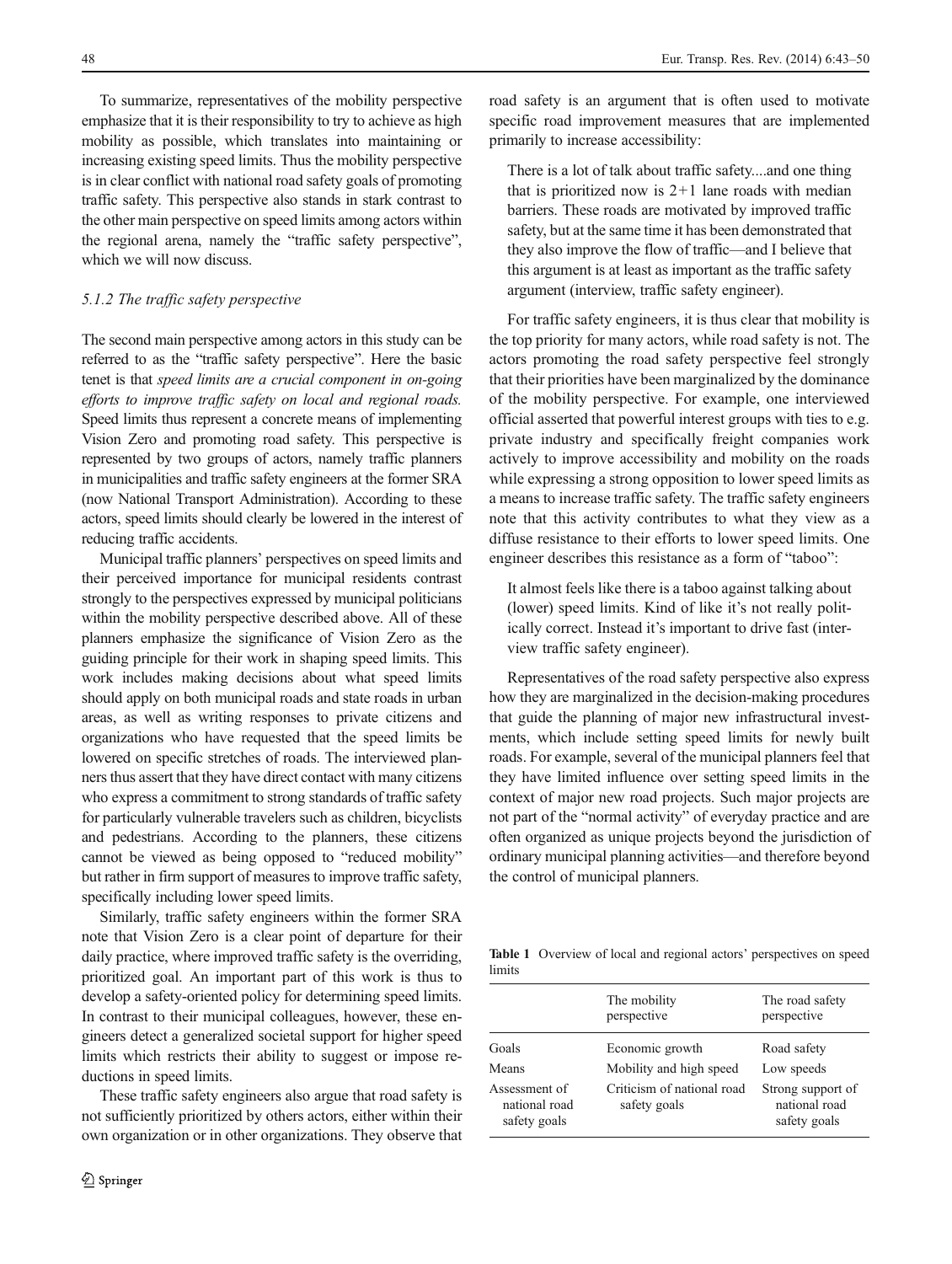<span id="page-5-0"></span>To summarize, representatives of the mobility perspective emphasize that it is their responsibility to try to achieve as high mobility as possible, which translates into maintaining or increasing existing speed limits. Thus the mobility perspective is in clear conflict with national road safety goals of promoting traffic safety. This perspective also stands in stark contrast to the other main perspective on speed limits among actors within the regional arena, namely the "traffic safety perspective", which we will now discuss.

# 5.1.2 The traffic safety perspective

The second main perspective among actors in this study can be referred to as the "traffic safety perspective". Here the basic tenet is that speed limits are a crucial component in on-going efforts to improve traffic safety on local and regional roads. Speed limits thus represent a concrete means of implementing Vision Zero and promoting road safety. This perspective is represented by two groups of actors, namely traffic planners in municipalities and traffic safety engineers at the former SRA (now National Transport Administration). According to these actors, speed limits should clearly be lowered in the interest of reducing traffic accidents.

Municipal traffic planners' perspectives on speed limits and their perceived importance for municipal residents contrast strongly to the perspectives expressed by municipal politicians within the mobility perspective described above. All of these planners emphasize the significance of Vision Zero as the guiding principle for their work in shaping speed limits. This work includes making decisions about what speed limits should apply on both municipal roads and state roads in urban areas, as well as writing responses to private citizens and organizations who have requested that the speed limits be lowered on specific stretches of roads. The interviewed planners thus assert that they have direct contact with many citizens who express a commitment to strong standards of traffic safety for particularly vulnerable travelers such as children, bicyclists and pedestrians. According to the planners, these citizens cannot be viewed as being opposed to "reduced mobility" but rather in firm support of measures to improve traffic safety, specifically including lower speed limits.

Similarly, traffic safety engineers within the former SRA note that Vision Zero is a clear point of departure for their daily practice, where improved traffic safety is the overriding, prioritized goal. An important part of this work is thus to develop a safety-oriented policy for determining speed limits. In contrast to their municipal colleagues, however, these engineers detect a generalized societal support for higher speed limits which restricts their ability to suggest or impose reductions in speed limits.

These traffic safety engineers also argue that road safety is not sufficiently prioritized by others actors, either within their own organization or in other organizations. They observe that

road safety is an argument that is often used to motivate specific road improvement measures that are implemented primarily to increase accessibility:

There is a lot of talk about traffic safety....and one thing that is prioritized now is  $2+1$  lane roads with median barriers. These roads are motivated by improved traffic safety, but at the same time it has been demonstrated that they also improve the flow of traffic—and I believe that this argument is at least as important as the traffic safety argument (interview, traffic safety engineer).

For traffic safety engineers, it is thus clear that mobility is the top priority for many actors, while road safety is not. The actors promoting the road safety perspective feel strongly that their priorities have been marginalized by the dominance of the mobility perspective. For example, one interviewed official asserted that powerful interest groups with ties to e.g. private industry and specifically freight companies work actively to improve accessibility and mobility on the roads while expressing a strong opposition to lower speed limits as a means to increase traffic safety. The traffic safety engineers note that this activity contributes to what they view as a diffuse resistance to their efforts to lower speed limits. One engineer describes this resistance as a form of "taboo":

It almost feels like there is a taboo against talking about (lower) speed limits. Kind of like it's not really politically correct. Instead it's important to drive fast (interview traffic safety engineer).

Representatives of the road safety perspective also express how they are marginalized in the decision-making procedures that guide the planning of major new infrastructural investments, which include setting speed limits for newly built roads. For example, several of the municipal planners feel that they have limited influence over setting speed limits in the context of major new road projects. Such major projects are not part of the "normal activity" of everyday practice and are often organized as unique projects beyond the jurisdiction of ordinary municipal planning activities—and therefore beyond the control of municipal planners.

Table 1 Overview of local and regional actors' perspectives on speed limits

|                                                | The mobility<br>perspective                | The road safety<br>perspective                     |
|------------------------------------------------|--------------------------------------------|----------------------------------------------------|
| Goals                                          | Economic growth                            | Road safety                                        |
| Means                                          | Mobility and high speed                    | Low speeds                                         |
| Assessment of<br>national road<br>safety goals | Criticism of national road<br>safety goals | Strong support of<br>national road<br>safety goals |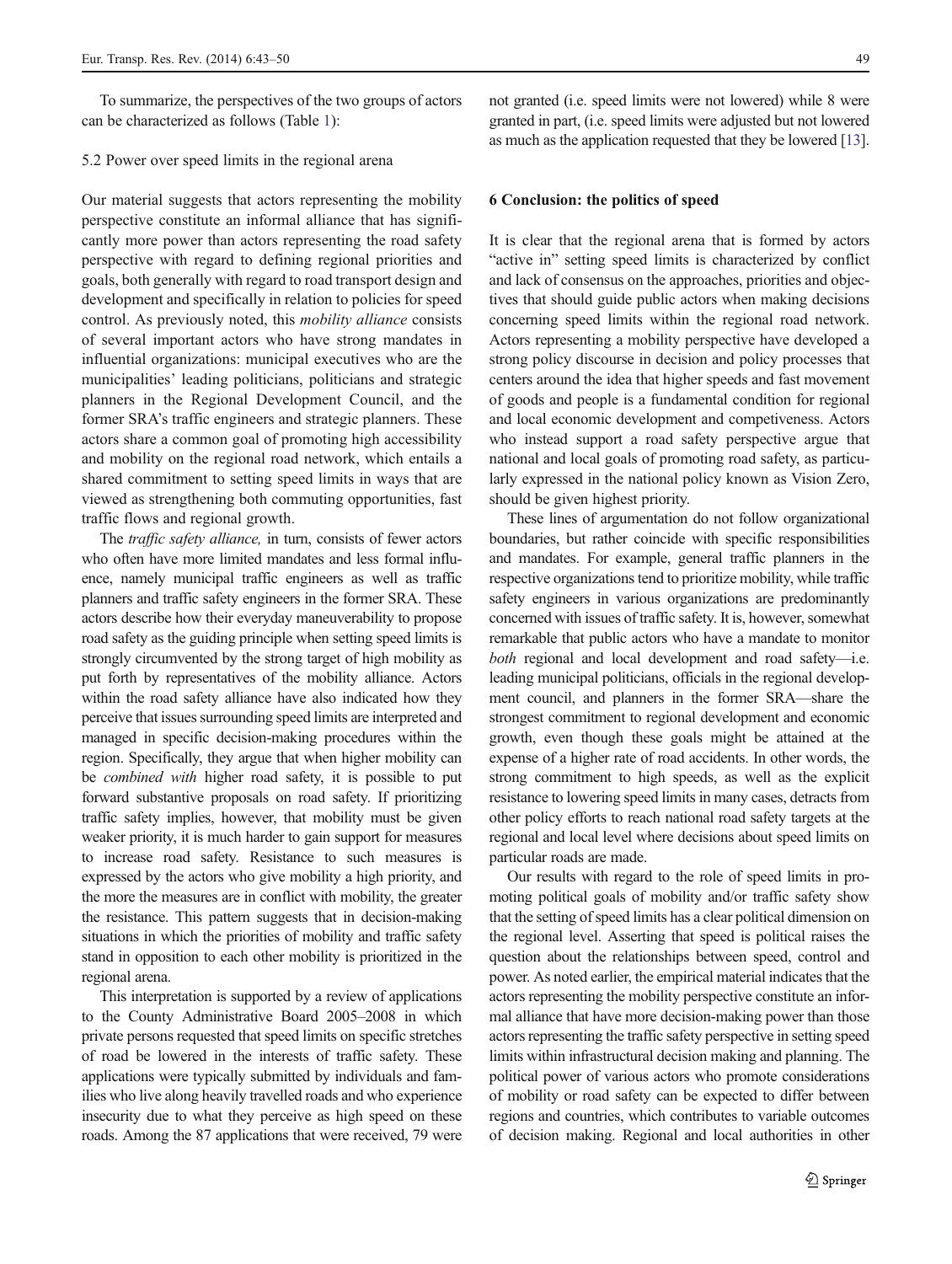To summarize, the perspectives of the two groups of actors can be characterized as follows (Table [1](#page-5-0)):

# 5.2 Power over speed limits in the regional arena

Our material suggests that actors representing the mobility perspective constitute an informal alliance that has significantly more power than actors representing the road safety perspective with regard to defining regional priorities and goals, both generally with regard to road transport design and development and specifically in relation to policies for speed control. As previously noted, this mobility alliance consists of several important actors who have strong mandates in influential organizations: municipal executives who are the municipalities' leading politicians, politicians and strategic planners in the Regional Development Council, and the former SRA's traffic engineers and strategic planners. These actors share a common goal of promoting high accessibility and mobility on the regional road network, which entails a shared commitment to setting speed limits in ways that are viewed as strengthening both commuting opportunities, fast traffic flows and regional growth.

The traffic safety alliance, in turn, consists of fewer actors who often have more limited mandates and less formal influence, namely municipal traffic engineers as well as traffic planners and traffic safety engineers in the former SRA. These actors describe how their everyday maneuverability to propose road safety as the guiding principle when setting speed limits is strongly circumvented by the strong target of high mobility as put forth by representatives of the mobility alliance. Actors within the road safety alliance have also indicated how they perceive that issues surrounding speed limits are interpreted and managed in specific decision-making procedures within the region. Specifically, they argue that when higher mobility can be combined with higher road safety, it is possible to put forward substantive proposals on road safety. If prioritizing traffic safety implies, however, that mobility must be given weaker priority, it is much harder to gain support for measures to increase road safety. Resistance to such measures is expressed by the actors who give mobility a high priority, and the more the measures are in conflict with mobility, the greater the resistance. This pattern suggests that in decision-making situations in which the priorities of mobility and traffic safety stand in opposition to each other mobility is prioritized in the regional arena.

This interpretation is supported by a review of applications to the County Administrative Board 2005–2008 in which private persons requested that speed limits on specific stretches of road be lowered in the interests of traffic safety. These applications were typically submitted by individuals and families who live along heavily travelled roads and who experience insecurity due to what they perceive as high speed on these roads. Among the 87 applications that were received, 79 were not granted (i.e. speed limits were not lowered) while 8 were granted in part, (i.e. speed limits were adjusted but not lowered as much as the application requested that they be lowered [\[13\]](#page-7-0).

#### 6 Conclusion: the politics of speed

It is clear that the regional arena that is formed by actors "active in" setting speed limits is characterized by conflict and lack of consensus on the approaches, priorities and objectives that should guide public actors when making decisions concerning speed limits within the regional road network. Actors representing a mobility perspective have developed a strong policy discourse in decision and policy processes that centers around the idea that higher speeds and fast movement of goods and people is a fundamental condition for regional and local economic development and competiveness. Actors who instead support a road safety perspective argue that national and local goals of promoting road safety, as particularly expressed in the national policy known as Vision Zero, should be given highest priority.

These lines of argumentation do not follow organizational boundaries, but rather coincide with specific responsibilities and mandates. For example, general traffic planners in the respective organizations tend to prioritize mobility, while traffic safety engineers in various organizations are predominantly concerned with issues of traffic safety. It is, however, somewhat remarkable that public actors who have a mandate to monitor both regional and local development and road safety—i.e. leading municipal politicians, officials in the regional development council, and planners in the former SRA—share the strongest commitment to regional development and economic growth, even though these goals might be attained at the expense of a higher rate of road accidents. In other words, the strong commitment to high speeds, as well as the explicit resistance to lowering speed limits in many cases, detracts from other policy efforts to reach national road safety targets at the regional and local level where decisions about speed limits on particular roads are made.

Our results with regard to the role of speed limits in promoting political goals of mobility and/or traffic safety show that the setting of speed limits has a clear political dimension on the regional level. Asserting that speed is political raises the question about the relationships between speed, control and power. As noted earlier, the empirical material indicates that the actors representing the mobility perspective constitute an informal alliance that have more decision-making power than those actors representing the traffic safety perspective in setting speed limits within infrastructural decision making and planning. The political power of various actors who promote considerations of mobility or road safety can be expected to differ between regions and countries, which contributes to variable outcomes of decision making. Regional and local authorities in other